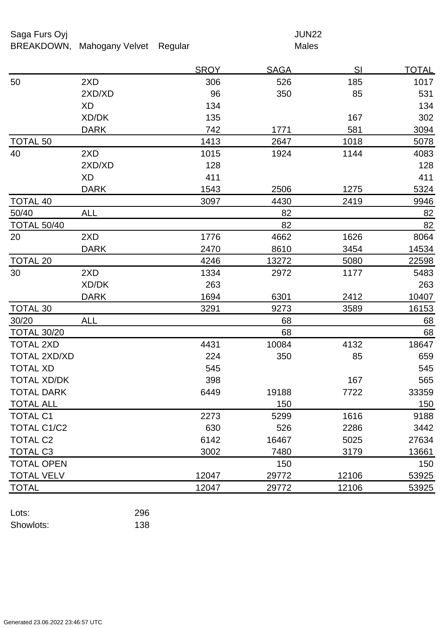## Saga Furs Oyj and the Saga Furs Oyj and the Saga Furs of the Saga Furs of the Saga Furs of the Saga Furs of the Saga Furs of the Saga Furs of the Saga Furs of the Saga Furs of the Saga Furs of the Saga Furs of the Saga Fur

## BREAKDOWN, Mahogany Velvet Regular Males

|                     |             | <u>SROY</u> | <b>SAGA</b> | <u>SI</u> | <u>TOTAL</u> |
|---------------------|-------------|-------------|-------------|-----------|--------------|
| 50                  | 2XD         | 306         | 526         | 185       | 1017         |
|                     | 2XD/XD      | 96          | 350         | 85        | 531          |
|                     | <b>XD</b>   | 134         |             |           | 134          |
|                     | XD/DK       | 135         |             | 167       | 302          |
|                     | <b>DARK</b> | 742         | 1771        | 581       | 3094         |
| <b>TOTAL 50</b>     |             | 1413        | 2647        | 1018      | 5078         |
| 40                  | 2XD         | 1015        | 1924        | 1144      | 4083         |
|                     | 2XD/XD      | 128         |             |           | 128          |
|                     | <b>XD</b>   | 411         |             |           | 411          |
|                     | <b>DARK</b> | 1543        | 2506        | 1275      | 5324         |
| <b>TOTAL 40</b>     |             | 3097        | 4430        | 2419      | 9946         |
| 50/40               | <b>ALL</b>  |             | 82          |           | 82           |
| <b>TOTAL 50/40</b>  |             |             | 82          |           | 82           |
| 20                  | 2XD         | 1776        | 4662        | 1626      | 8064         |
|                     | <b>DARK</b> | 2470        | 8610        | 3454      | 14534        |
| <b>TOTAL 20</b>     |             | 4246        | 13272       | 5080      | 22598        |
| 30                  | 2XD         | 1334        | 2972        | 1177      | 5483         |
|                     | XD/DK       | 263         |             |           | 263          |
|                     | <b>DARK</b> | 1694        | 6301        | 2412      | 10407        |
| <b>TOTAL 30</b>     |             | 3291        | 9273        | 3589      | 16153        |
| 30/20               | <b>ALL</b>  |             | 68          |           | 68           |
| <b>TOTAL 30/20</b>  |             |             | 68          |           | 68           |
| <b>TOTAL 2XD</b>    |             | 4431        | 10084       | 4132      | 18647        |
| <b>TOTAL 2XD/XD</b> |             | 224         | 350         | 85        | 659          |
| <b>TOTAL XD</b>     |             | 545         |             |           | 545          |
| <b>TOTAL XD/DK</b>  |             | 398         |             | 167       | 565          |
| <b>TOTAL DARK</b>   |             | 6449        | 19188       | 7722      | 33359        |
| TOTAL ALL           |             |             | 150         |           | 150          |
| <b>TOTAL C1</b>     |             | 2273        | 5299        | 1616      | 9188         |
| <b>TOTAL C1/C2</b>  |             | 630         | 526         | 2286      | 3442         |
| <b>TOTAL C2</b>     |             | 6142        | 16467       | 5025      | 27634        |
| <b>TOTAL C3</b>     |             | 3002        | 7480        | 3179      | 13661        |
| <b>TOTAL OPEN</b>   |             |             | 150         |           | 150          |
| <b>TOTAL VELV</b>   |             | 12047       | 29772       | 12106     | 53925        |
| <b>TOTAL</b>        |             | 12047       | 29772       | 12106     | 53925        |